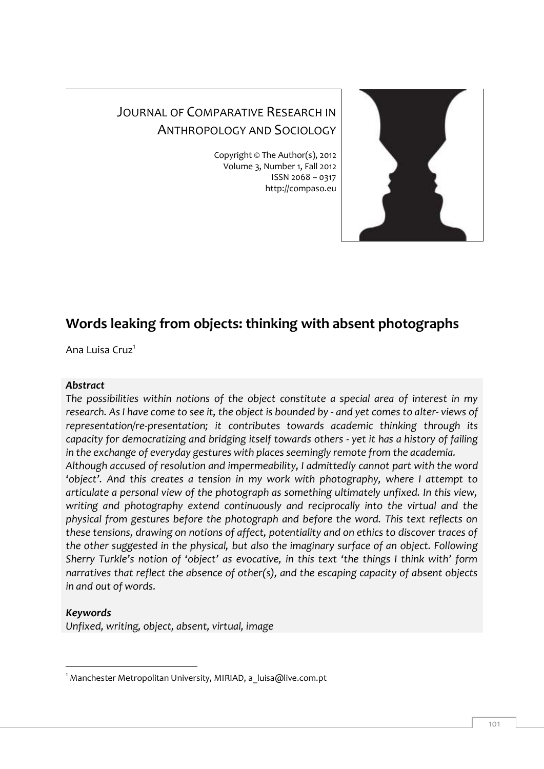

# JOURNAL OF COMPARATIVE RESEARCH IN ANTHROPOLOGY AND SOCIOLOGY

Copyright © The Author(s), 2012 Volume 3, Number 1, Fall 2012 ISSN 2068 – 0317 http://compaso.eu

# **Words leaking from objects: thinking with absent photographs**

Ana Luisa Cruz<sup>1</sup>

### *Abstract*

*The possibilities within notions of the object constitute a special area of interest in my research. As I have come to see it, the object is bounded by - and yet comes to alter- views of representation/re-presentation; it contributes towards academic thinking through its capacity for democratizing and bridging itself towards others - yet it has a history of failing in the exchange of everyday gestures with places seemingly remote from the academia. Although accused of resolution and impermeability, I admittedly cannot part with the word 'object'. And this creates a tension in my work with photography, where I attempt to articulate a personal view of the photograph as something ultimately unfixed. In this view, writing and photography extend continuously and reciprocally into the virtual and the physical from gestures before the photograph and before the word. This text reflects on these tensions, drawing on notions of affect, potentiality and on ethics to discover traces of the other suggested in the physical, but also the imaginary surface of an object. Following Sherry Turkle's notion of 'object' as evocative, in this text 'the things I think with' form narratives that reflect the absence of other(s), and the escaping capacity of absent objects in and out of words.* 

# *Keywords*

*Unfixed, writing, object, absent, virtual, image*

<sup>-</sup> $1$  Manchester Metropolitan University, MIRIAD, a luisa@live.com.pt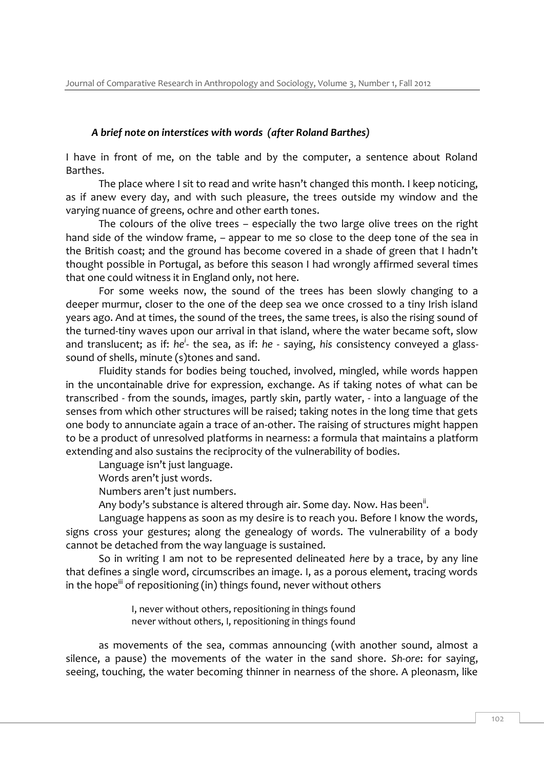#### *A brief note on interstices with words (after Roland Barthes)*

I have in front of me, on the table and by the computer, a sentence about Roland Barthes.

The place where I sit to read and write hasn't changed this month. I keep noticing, as if anew every day, and with such pleasure, the trees outside my window and the varying nuance of greens, ochre and other earth tones.

The colours of the olive trees – especially the two large olive trees on the right hand side of the window frame, – appear to me so close to the deep tone of the sea in the British coast; and the ground has become covered in a shade of green that I hadn't thought possible in Portugal, as before this season I had wrongly affirmed several times that one could witness it in England only, not here.

For some weeks now, the sound of the trees has been slowly changing to a deeper murmur, closer to the one of the deep sea we once crossed to a tiny Irish island years ago. And at times, the sound of the trees, the same trees, is also the rising sound of the turned-tiny waves upon our arrival in that island, where the water became soft, slow and translucent; as if: *he<sup>i</sup>-* the sea, as if: *he -* saying, *his* consistency conveyed a glasssound of shells, minute (s)tones and sand.

Fluidity stands for bodies being touched, involved, mingled, while words happen in the uncontainable drive for expression, exchange. As if taking notes of what can be transcribed - from the sounds, images, partly skin, partly water, - into a language of the senses from which other structures will be raised; taking notes in the long time that gets one body to annunciate again a trace of an-other. The raising of structures might happen to be a product of unresolved platforms in nearness: a formula that maintains a platform extending and also sustains the reciprocity of the vulnerability of bodies.

Language isn't just language.

Words aren't just words.

Numbers aren't just numbers.

Any body's substance is altered through air. Some day. Now. Has been<sup>ii</sup>.

Language happens as soon as my desire is to reach you. Before I know the words, signs cross your gestures; along the genealogy of words. The vulnerability of a body cannot be detached from the way language is sustained.

So in writing I am not to be represented delineated *here* by a trace, by any line that defines a single word, circumscribes an image. I, as a porous element, tracing words in the hope<sup>iii</sup> of repositioning (in) things found, never without others

> I, never without others, repositioning in things found never without others, I, repositioning in things found

as movements of the sea, commas announcing (with another sound, almost a silence, a pause) the movements of the water in the sand shore. *Sh-ore*: for saying, seeing, touching, the water becoming thinner in nearness of the shore. A pleonasm, like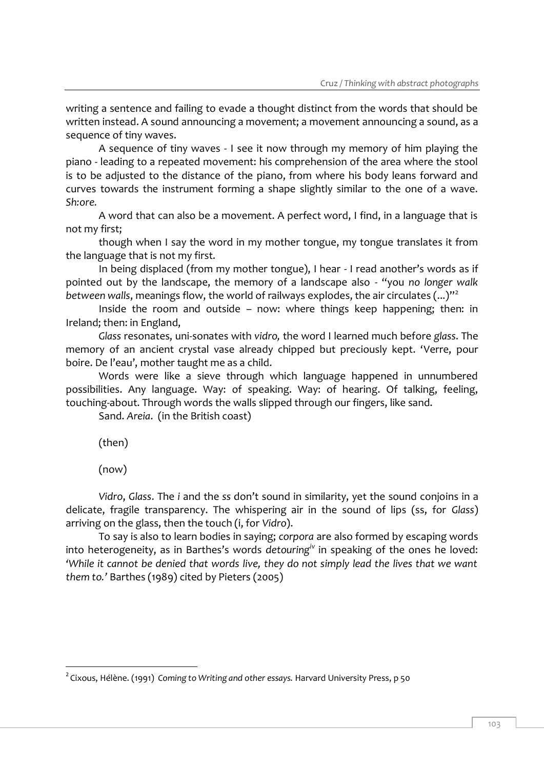writing a sentence and failing to evade a thought distinct from the words that should be written instead. A sound announcing a movement; a movement announcing a sound, as a sequence of tiny waves.

A sequence of tiny waves - I see it now through my memory of him playing the piano - leading to a repeated movement: his comprehension of the area where the stool is to be adjusted to the distance of the piano, from where his body leans forward and curves towards the instrument forming a shape slightly similar to the one of a wave. *Sh:ore.*

A word that can also be a movement. A perfect word, I find, in a language that is not my first;

though when I say the word in my mother tongue, my tongue translates it from the language that is not my first.

In being displaced (from my mother tongue), I hear - I read another's words as if pointed out by the landscape, the memory of a landscape also - "you *no longer walk between walls*, meanings flow, the world of railways explodes, the air circulates (...)"<sup>2</sup>

Inside the room and outside – now: where things keep happening; then: in Ireland; then: in England,

*Glass* resonates, uni-sonates with *vidro,* the word I learned much before *glass*. The memory of an ancient crystal vase already chipped but preciously kept. 'Verre, pour boire. De l'eau', mother taught me as a child.

Words were like a sieve through which language happened in unnumbered possibilities. Any language. Way: of speaking. Way: of hearing. Of talking, feeling, touching-about. Through words the walls slipped through our fingers, like sand.

Sand. *Areia*. (in the British coast)

(then)

(now)

 $\overline{\phantom{a}}$ 

*Vidro*, *Glass*. The *i* and the *ss* don't sound in similarity, yet the sound conjoins in a delicate, fragile transparency. The whispering air in the sound of lips (ss, for *Glass*) arriving on the glass, then the touch (i, for *Vidro*).

To say is also to learn bodies in saying; *corpora* are also formed by escaping words into heterogeneity, as in Barthes's words *detouringiv* in speaking of the ones he loved: *'While it cannot be denied that words live, they do not simply lead the lives that we want them to.'* Barthes (1989) cited by Pieters (2005)

<sup>2</sup> Cixous, Hélène. (1991) *Coming to Writing and other essays.* Harvard University Press, p 50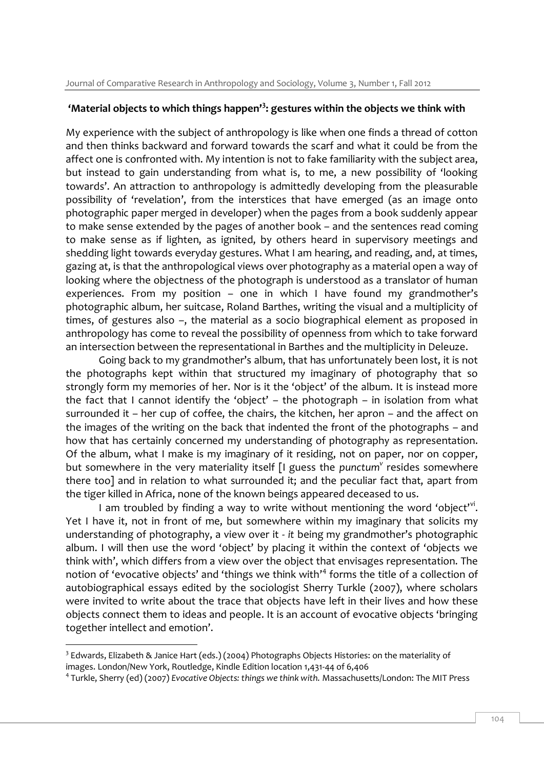### **'Material objects to which things happen'<sup>3</sup> : gestures within the objects we think with**

My experience with the subject of anthropology is like when one finds a thread of cotton and then thinks backward and forward towards the scarf and what it could be from the affect one is confronted with. My intention is not to fake familiarity with the subject area, but instead to gain understanding from what is, to me, a new possibility of 'looking towards'. An attraction to anthropology is admittedly developing from the pleasurable possibility of 'revelation', from the interstices that have emerged (as an image onto photographic paper merged in developer) when the pages from a book suddenly appear to make sense extended by the pages of another book – and the sentences read coming to make sense as if lighten, as ignited, by others heard in supervisory meetings and shedding light towards everyday gestures. What I am hearing, and reading, and, at times, gazing at, is that the anthropological views over photography as a material open a way of looking where the objectness of the photograph is understood as a translator of human experiences. From my position – one in which I have found my grandmother's photographic album, her suitcase, Roland Barthes, writing the visual and a multiplicity of times, of gestures also –, the material as a socio biographical element as proposed in anthropology has come to reveal the possibility of openness from which to take forward an intersection between the representational in Barthes and the multiplicity in Deleuze.

Going back to my grandmother's album, that has unfortunately been lost, it is not the photographs kept within that structured my imaginary of photography that so strongly form my memories of her. Nor is it the 'object' of the album. It is instead more the fact that I cannot identify the 'object' – the photograph – in isolation from what surrounded it – her cup of coffee, the chairs, the kitchen, her apron – and the affect on the images of the writing on the back that indented the front of the photographs – and how that has certainly concerned my understanding of photography as representation. Of the album, what I make is my imaginary of it residing, not on paper, nor on copper, but somewhere in the very materiality itself [I guess the punctum<sup>y</sup> resides somewhere there too] and in relation to what surrounded it; and the peculiar fact that, apart from the tiger killed in Africa, none of the known beings appeared deceased to us.

I am troubled by finding a way to write without mentioning the word 'object'<sup>vi</sup>. Yet I have it, not in front of me, but somewhere within my imaginary that solicits my understanding of photography, a view over it - *it* being my grandmother's photographic album. I will then use the word 'object' by placing it within the context of 'objects we think with', which differs from a view over the object that envisages representation. The notion of 'evocative objects' and 'things we think with'<sup>4</sup> forms the title of a collection of autobiographical essays edited by the sociologist Sherry Turkle (2007), where scholars were invited to write about the trace that objects have left in their lives and how these objects connect them to ideas and people. It is an account of evocative objects 'bringing together intellect and emotion'.

<sup>&</sup>lt;sup>3</sup> Edwards, Elizabeth & Janice Hart (eds.) (2004) Photographs Objects Histories: on the materiality of images. London/New York, Routledge, Kindle Edition location 1,431-44 of 6,406

<sup>4</sup> Turkle, Sherry (ed) (2007) *Evocative Objects: things we think with.* Massachusetts/London: The MIT Press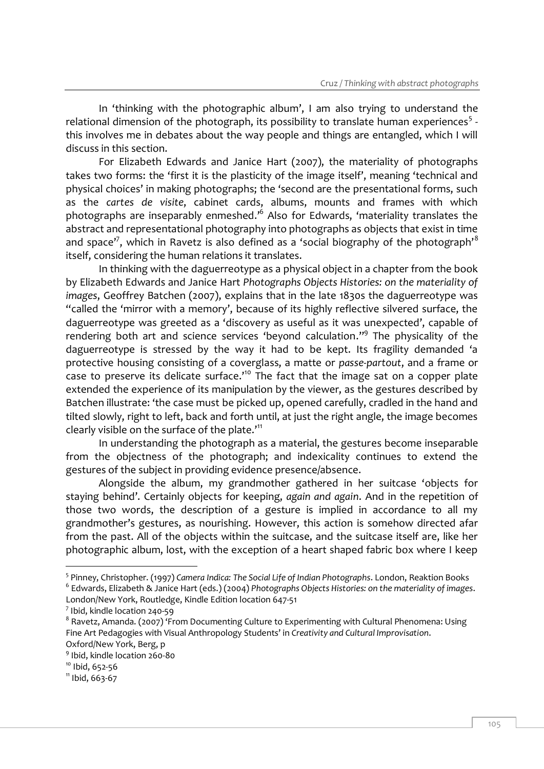In 'thinking with the photographic album', I am also trying to understand the relational dimension of the photograph, its possibility to translate human experiences<sup>5</sup> this involves me in debates about the way people and things are entangled, which I will discuss in this section.

For Elizabeth Edwards and Janice Hart (2007), the materiality of photographs takes two forms: the 'first it is the plasticity of the image itself', meaning 'technical and physical choices' in making photographs; the 'second are the presentational forms, such as the *cartes de visite*, cabinet cards, albums, mounts and frames with which photographs are inseparably enmeshed.<sup>,6</sup> Also for Edwards, 'materiality translates the abstract and representational photography into photographs as objects that exist in time and space'<sup>7</sup>, which in Ravetz is also defined as a 'social biography of the photograph'<sup>8</sup> itself, considering the human relations it translates.

In thinking with the daguerreotype as a physical object in a chapter from the book by Elizabeth Edwards and Janice Hart *Photographs Objects Histories: on the materiality of images*, Geoffrey Batchen (2007), explains that in the late 1830s the daguerreotype was "called the 'mirror with a memory', because of its highly reflective silvered surface, the daguerreotype was greeted as a 'discovery as useful as it was unexpected', capable of rendering both art and science services 'beyond calculation."<sup>9</sup> The physicality of the daguerreotype is stressed by the way it had to be kept. Its fragility demanded 'a protective housing consisting of a coverglass, a matte or *passe-partout*, and a frame or case to preserve its delicate surface.'<sup>10</sup> The fact that the image sat on a copper plate extended the experience of its manipulation by the viewer, as the gestures described by Batchen illustrate: 'the case must be picked up, opened carefully, cradled in the hand and tilted slowly, right to left, back and forth until, at just the right angle, the image becomes clearly visible on the surface of the plate.<sup>'11</sup>

In understanding the photograph as a material, the gestures become inseparable from the objectness of the photograph; and indexicality continues to extend the gestures of the subject in providing evidence presence/absence.

Alongside the album, my grandmother gathered in her suitcase 'objects for staying behind'. Certainly objects for keeping, *again and again*. And in the repetition of those two words, the description of a gesture is implied in accordance to all my grandmother's gestures, as nourishing. However, this action is somehow directed afar from the past. All of the objects within the suitcase, and the suitcase itself are, like her photographic album, lost, with the exception of a heart shaped fabric box where I keep

<sup>5</sup> Pinney, Christopher. (1997) *Camera Indica: The Social Life of Indian Photographs*. London, Reaktion Books 6 Edwards, Elizabeth & Janice Hart (eds.) (2004) *Photographs Objects Histories: on the materiality of images*. London/New York, Routledge, Kindle Edition location 647-51

 $<sup>7</sup>$  Ibid, kindle location 240-59</sup>

<sup>&</sup>lt;sup>8</sup> Ravetz, Amanda. (2007) 'From Documenting Culture to Experimenting with Cultural Phenomena: Using Fine Art Pedagogies with Visual Anthropology Students' in *Creativity and Cultural Improvisation*. Oxford/New York, Berg, p

<sup>9</sup> Ibid, kindle location 260-80

<sup>&</sup>lt;sup>10</sup> Ibid, 652-56

 $11$  Ibid, 663-67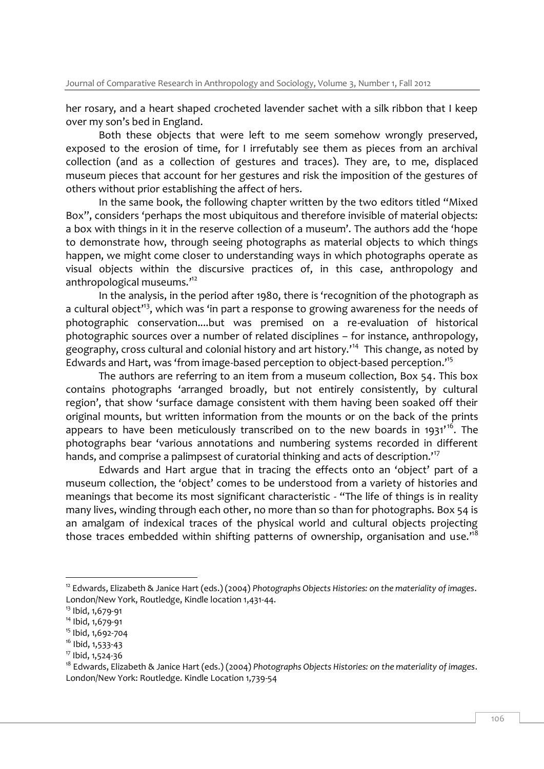her rosary, and a heart shaped crocheted lavender sachet with a silk ribbon that I keep over my son's bed in England.

Both these objects that were left to me seem somehow wrongly preserved, exposed to the erosion of time, for I irrefutably see them as pieces from an archival collection (and as a collection of gestures and traces). They are, to me, displaced museum pieces that account for her gestures and risk the imposition of the gestures of others without prior establishing the affect of hers.

In the same book, the following chapter written by the two editors titled "Mixed Box", considers 'perhaps the most ubiquitous and therefore invisible of material objects: a box with things in it in the reserve collection of a museum'. The authors add the 'hope to demonstrate how, through seeing photographs as material objects to which things happen, we might come closer to understanding ways in which photographs operate as visual objects within the discursive practices of, in this case, anthropology and anthropological museums.'<sup>12</sup>

In the analysis, in the period after 1980, there is 'recognition of the photograph as a cultural object<sup>13</sup>, which was 'in part a response to growing awareness for the needs of photographic conservation....but was premised on a re-evaluation of historical photographic sources over a number of related disciplines – for instance, anthropology, geography, cross cultural and colonial history and art history.'<sup>14</sup> This change, as noted by Edwards and Hart, was 'from image-based perception to object-based perception.' 15

The authors are referring to an item from a museum collection, Box 54. This box contains photographs 'arranged broadly, but not entirely consistently, by cultural region', that show 'surface damage consistent with them having been soaked off their original mounts, but written information from the mounts or on the back of the prints appears to have been meticulously transcribed on to the new boards in 1931'<sup>16</sup>. The photographs bear 'various annotations and numbering systems recorded in different hands, and comprise a palimpsest of curatorial thinking and acts of description.<sup>17</sup>

Edwards and Hart argue that in tracing the effects onto an 'object' part of a museum collection, the 'object' comes to be understood from a variety of histories and meanings that become its most significant characteristic - "The life of things is in reality many lives, winding through each other, no more than so than for photographs. Box 54 is an amalgam of indexical traces of the physical world and cultural objects projecting those traces embedded within shifting patterns of ownership, organisation and use.<sup>18</sup>

<sup>12</sup> Edwards, Elizabeth & Janice Hart (eds.) (2004) *Photographs Objects Histories: on the materiality of images*. London/New York, Routledge, Kindle location 1,431-44.

<sup>&</sup>lt;sup>13</sup> Ibid, 1,679-91

<sup>&</sup>lt;sup>14</sup> Ibid, 1,679-91

<sup>15</sup> Ibid, 1,692-704

<sup>&</sup>lt;sup>16</sup> Ibid, 1,533-43

<sup>&</sup>lt;sup>17</sup> Ibid, 1,524-36

<sup>18</sup> Edwards, Elizabeth & Janice Hart (eds.) (2004) *Photographs Objects Histories: on the materiality of images*. London/New York: Routledge. Kindle Location 1,739-54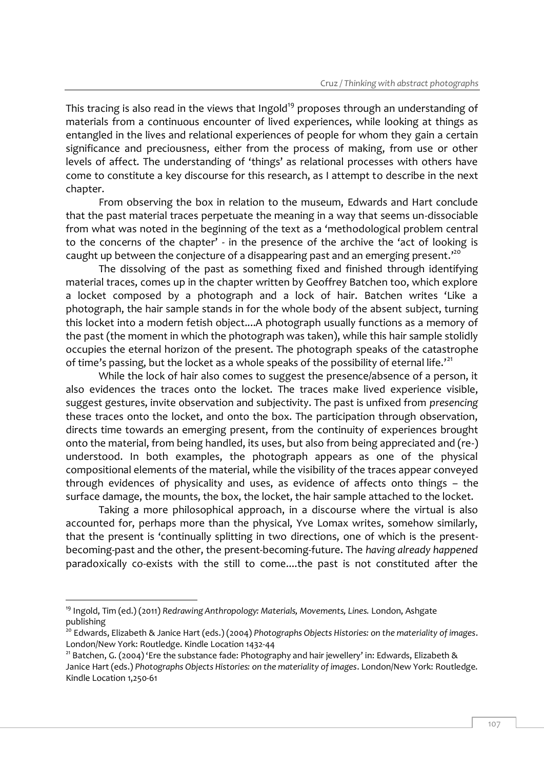This tracing is also read in the views that Ingold<sup>19</sup> proposes through an understanding of materials from a continuous encounter of lived experiences, while looking at things as entangled in the lives and relational experiences of people for whom they gain a certain significance and preciousness, either from the process of making, from use or other levels of affect. The understanding of 'things' as relational processes with others have come to constitute a key discourse for this research, as I attempt to describe in the next chapter.

From observing the box in relation to the museum, Edwards and Hart conclude that the past material traces perpetuate the meaning in a way that seems un-dissociable from what was noted in the beginning of the text as a 'methodological problem central to the concerns of the chapter' - in the presence of the archive the 'act of looking is caught up between the conjecture of a disappearing past and an emerging present.<sup>200</sup>

The dissolving of the past as something fixed and finished through identifying material traces, comes up in the chapter written by Geoffrey Batchen too, which explore a locket composed by a photograph and a lock of hair. Batchen writes 'Like a photograph, the hair sample stands in for the whole body of the absent subject, turning this locket into a modern fetish object....A photograph usually functions as a memory of the past (the moment in which the photograph was taken), while this hair sample stolidly occupies the eternal horizon of the present. The photograph speaks of the catastrophe of time's passing, but the locket as a whole speaks of the possibility of eternal life.<sup>'21</sup>

While the lock of hair also comes to suggest the presence/absence of a person, it also evidences the traces onto the locket. The traces make lived experience visible, suggest gestures, invite observation and subjectivity. The past is unfixed from *presencing* these traces onto the locket, and onto the box. The participation through observation, directs time towards an emerging present, from the continuity of experiences brought onto the material, from being handled, its uses, but also from being appreciated and (re-) understood. In both examples, the photograph appears as one of the physical compositional elements of the material, while the visibility of the traces appear conveyed through evidences of physicality and uses, as evidence of affects onto things – the surface damage, the mounts, the box, the locket, the hair sample attached to the locket.

Taking a more philosophical approach, in a discourse where the virtual is also accounted for, perhaps more than the physical, Yve Lomax writes, somehow similarly, that the present is 'continually splitting in two directions, one of which is the presentbecoming-past and the other, the present-becoming-future. The *having already happened* paradoxically co-exists with the still to come....the past is not constituted after the

<sup>&</sup>lt;sup>19</sup> Ingold, Tim (ed.) (2011) *Redrawing Anthropology: Materials, Movements, Lines. London, Ashgate* publishing

<sup>20</sup> Edwards, Elizabeth & Janice Hart (eds.) (2004) *Photographs Objects Histories: on the materiality of images*. London/New York: Routledge. Kindle Location 1432-44

<sup>&</sup>lt;sup>21</sup> Batchen, G. (2004) 'Ere the substance fade: Photography and hair jewellery' in: Edwards, Elizabeth & Janice Hart (eds.) *Photographs Objects Histories: on the materiality of images*. London/New York: Routledge. Kindle Location 1,250-61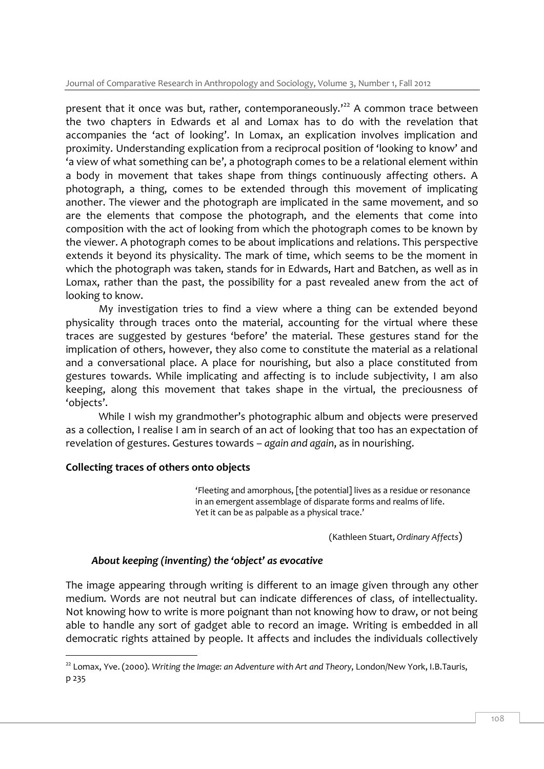present that it once was but, rather, contemporaneously.<sup> $22$ </sup> A common trace between the two chapters in Edwards et al and Lomax has to do with the revelation that accompanies the 'act of looking'. In Lomax, an explication involves implication and proximity. Understanding explication from a reciprocal position of 'looking to know' and 'a view of what something can be', a photograph comes to be a relational element within a body in movement that takes shape from things continuously affecting others. A photograph, a thing, comes to be extended through this movement of implicating another. The viewer and the photograph are implicated in the same movement, and so are the elements that compose the photograph, and the elements that come into composition with the act of looking from which the photograph comes to be known by the viewer. A photograph comes to be about implications and relations. This perspective extends it beyond its physicality. The mark of time, which seems to be the moment in which the photograph was taken, stands for in Edwards, Hart and Batchen, as well as in Lomax, rather than the past, the possibility for a past revealed anew from the act of looking to know.

My investigation tries to find a view where a thing can be extended beyond physicality through traces onto the material, accounting for the virtual where these traces are suggested by gestures 'before' the material. These gestures stand for the implication of others, however, they also come to constitute the material as a relational and a conversational place. A place for nourishing, but also a place constituted from gestures towards. While implicating and affecting is to include subjectivity, I am also keeping, along this movement that takes shape in the virtual, the preciousness of 'objects'.

While I wish my grandmother's photographic album and objects were preserved as a collection, I realise I am in search of an act of looking that too has an expectation of revelation of gestures. Gestures towards – *again and again*, as in nourishing.

### **Collecting traces of others onto objects**

'Fleeting and amorphous, [the potential] lives as a residue or resonance in an emergent assemblage of disparate forms and realms of life. Yet it can be as palpable as a physical trace.'

(Kathleen Stuart, *Ordinary Affects*)

# *About keeping (inventing) the 'object' as evocative*

The image appearing through writing is different to an image given through any other medium. Words are not neutral but can indicate differences of class, of intellectuality. Not knowing how to write is more poignant than not knowing how to draw, or not being able to handle any sort of gadget able to record an image. Writing is embedded in all democratic rights attained by people. It affects and includes the individuals collectively

<sup>-</sup><sup>22</sup> Lomax, Yve. (2000). *Writing the Image: an Adventure with Art and Theory*, London/New York, I.B.Tauris, p 235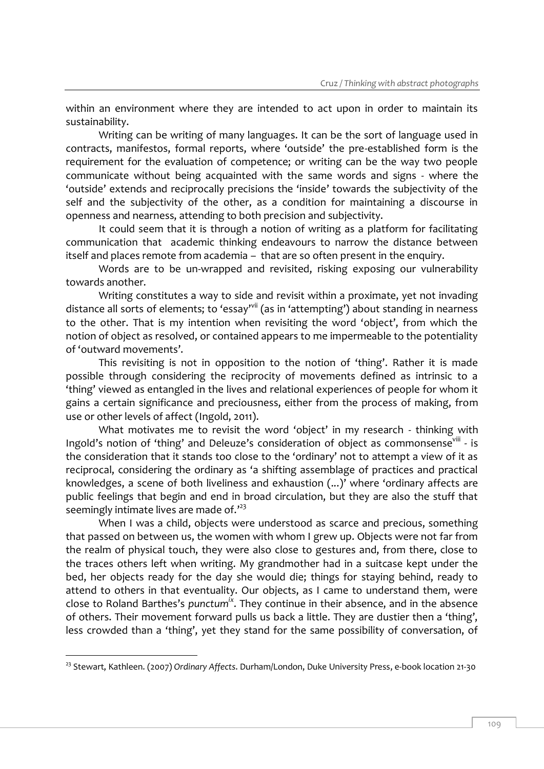within an environment where they are intended to act upon in order to maintain its sustainability.

Writing can be writing of many languages. It can be the sort of language used in contracts, manifestos, formal reports, where 'outside' the pre-established form is the requirement for the evaluation of competence; or writing can be the way two people communicate without being acquainted with the same words and signs - where the 'outside' extends and reciprocally precisions the 'inside' towards the subjectivity of the self and the subjectivity of the other, as a condition for maintaining a discourse in openness and nearness, attending to both precision and subjectivity.

It could seem that it is through a notion of writing as a platform for facilitating communication that academic thinking endeavours to narrow the distance between itself and places remote from academia – that are so often present in the enquiry.

Words are to be un-wrapped and revisited, risking exposing our vulnerability towards another.

Writing constitutes a way to side and revisit within a proximate, yet not invading distance all sorts of elements; to 'essay'<sup>vii</sup> (as in 'attempting') about standing in nearness to the other. That is my intention when revisiting the word 'object', from which the notion of object as resolved, or contained appears to me impermeable to the potentiality of 'outward movements'.

This revisiting is not in opposition to the notion of 'thing'. Rather it is made possible through considering the reciprocity of movements defined as intrinsic to a 'thing' viewed as entangled in the lives and relational experiences of people for whom it gains a certain significance and preciousness, either from the process of making, from use or other levels of affect (Ingold, 2011).

What motivates me to revisit the word 'object' in my research - thinking with Ingold's notion of 'thing' and Deleuze's consideration of object as commonsense<sup>viii</sup> - is the consideration that it stands too close to the 'ordinary' not to attempt a view of it as reciprocal, considering the ordinary as 'a shifting assemblage of practices and practical knowledges, a scene of both liveliness and exhaustion (...)' where 'ordinary affects are public feelings that begin and end in broad circulation, but they are also the stuff that seemingly intimate lives are made of.<sup>123</sup>

When I was a child, objects were understood as scarce and precious, something that passed on between us, the women with whom I grew up. Objects were not far from the realm of physical touch, they were also close to gestures and, from there, close to the traces others left when writing. My grandmother had in a suitcase kept under the bed, her objects ready for the day she would die; things for staying behind, ready to attend to others in that eventuality. Our objects, as I came to understand them, were close to Roland Barthes's *punctumix*. They continue in their absence, and in the absence of others. Their movement forward pulls us back a little. They are dustier then a 'thing', less crowded than a 'thing', yet they stand for the same possibility of conversation, of

<sup>23</sup> Stewart, Kathleen. (2007) *Ordinary Affects*. Durham/London, Duke University Press, e-book location 21-30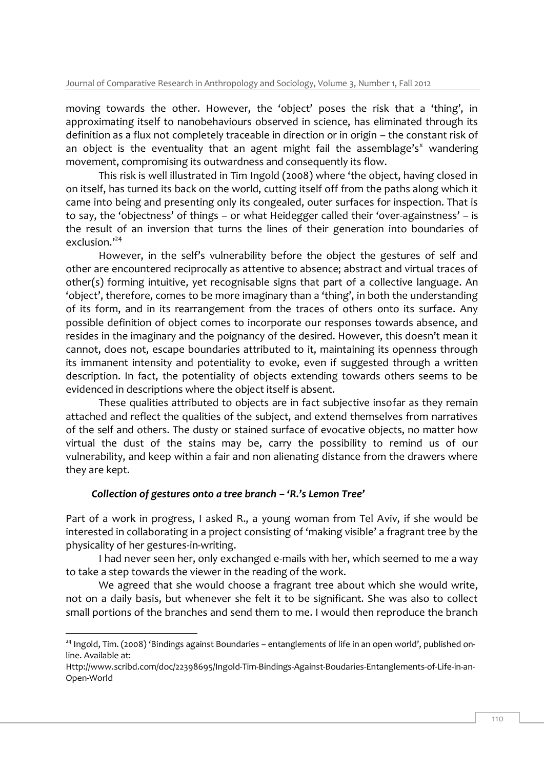moving towards the other. However, the 'object' poses the risk that a 'thing', in approximating itself to nanobehaviours observed in science, has eliminated through its definition as a flux not completely traceable in direction or in origin – the constant risk of an object is the eventuality that an agent might fail the assemblage's<sup>x</sup> wandering movement, compromising its outwardness and consequently its flow.

This risk is well illustrated in Tim Ingold (2008) where 'the object, having closed in on itself, has turned its back on the world, cutting itself off from the paths along which it came into being and presenting only its congealed, outer surfaces for inspection. That is to say, the 'objectness' of things – or what Heidegger called their 'over-againstness' – is the result of an inversion that turns the lines of their generation into boundaries of exclusion.'<sup>24</sup>

However, in the self's vulnerability before the object the gestures of self and other are encountered reciprocally as attentive to absence; abstract and virtual traces of other(s) forming intuitive, yet recognisable signs that part of a collective language. An 'object', therefore, comes to be more imaginary than a 'thing', in both the understanding of its form, and in its rearrangement from the traces of others onto its surface. Any possible definition of object comes to incorporate our responses towards absence, and resides in the imaginary and the poignancy of the desired. However, this doesn't mean it cannot, does not, escape boundaries attributed to it, maintaining its openness through its immanent intensity and potentiality to evoke, even if suggested through a written description. In fact, the potentiality of objects extending towards others seems to be evidenced in descriptions where the object itself is absent.

These qualities attributed to objects are in fact subjective insofar as they remain attached and reflect the qualities of the subject, and extend themselves from narratives of the self and others. The dusty or stained surface of evocative objects, no matter how virtual the dust of the stains may be, carry the possibility to remind us of our vulnerability, and keep within a fair and non alienating distance from the drawers where they are kept.

# *Collection of gestures onto a tree branch – 'R.'s Lemon Tree'*

-

Part of a work in progress, I asked R., a young woman from Tel Aviv, if she would be interested in collaborating in a project consisting of 'making visible' a fragrant tree by the physicality of her gestures-in-writing.

I had never seen her, only exchanged e-mails with her, which seemed to me a way to take a step towards the viewer in the reading of the work.

We agreed that she would choose a fragrant tree about which she would write, not on a daily basis, but whenever she felt it to be significant. She was also to collect small portions of the branches and send them to me. I would then reproduce the branch

<sup>&</sup>lt;sup>24</sup> Ingold, Tim. (2008) 'Bindings against Boundaries – entanglements of life in an open world', published online. Available at:

Http://www.scribd.com/doc/22398695/Ingold-Tim-Bindings-Against-Boudaries-Entanglements-of-Life-in-an-Open-World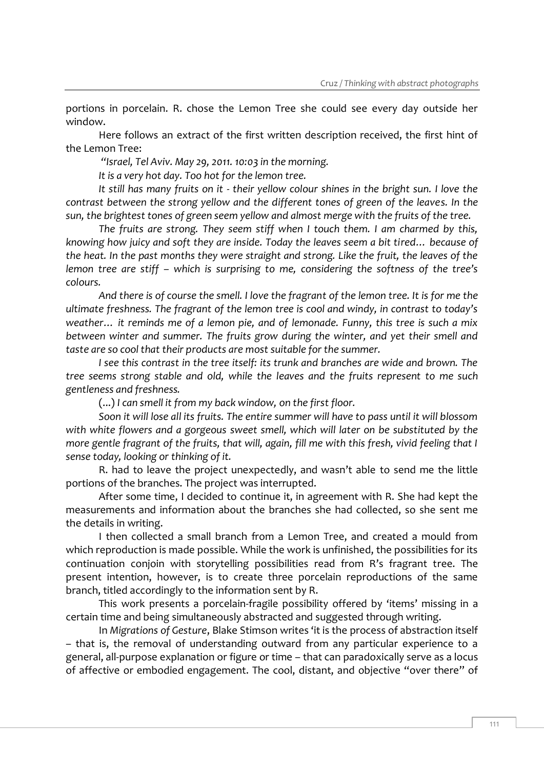portions in porcelain. R. chose the Lemon Tree she could see every day outside her window.

Here follows an extract of the first written description received, the first hint of the Lemon Tree:

*"Israel, Tel Aviv. May 29, 2011. 10:03 in the morning.* 

*It is a very hot day. Too hot for the lemon tree.* 

*It still has many fruits on it - their yellow colour shines in the bright sun. I love the contrast between the strong yellow and the different tones of green of the leaves. In the sun, the brightest tones of green seem yellow and almost merge with the fruits of the tree.*

*The fruits are strong. They seem stiff when I touch them. I am charmed by this, knowing how juicy and soft they are inside. Today the leaves seem a bit tired… because of the heat. In the past months they were straight and strong. Like the fruit, the leaves of the lemon tree are stiff – which is surprising to me, considering the softness of the tree's colours.*

*And there is of course the smell. I love the fragrant of the lemon tree. It is for me the ultimate freshness. The fragrant of the lemon tree is cool and windy, in contrast to today's weather… it reminds me of a lemon pie, and of lemonade. Funny, this tree is such a mix between winter and summer. The fruits grow during the winter, and yet their smell and taste are so cool that their products are most suitable for the summer.*

*I see this contrast in the tree itself: its trunk and branches are wide and brown. The tree seems strong stable and old, while the leaves and the fruits represent to me such gentleness and freshness.*

(...) *I can smell it from my back window, on the first floor.* 

*Soon it will lose all its fruits. The entire summer will have to pass until it will blossom with white flowers and a gorgeous sweet smell, which will later on be substituted by the more gentle fragrant of the fruits, that will, again, fill me with this fresh, vivid feeling that I sense today, looking or thinking of it.* 

R. had to leave the project unexpectedly, and wasn't able to send me the little portions of the branches. The project was interrupted.

After some time, I decided to continue it, in agreement with R. She had kept the measurements and information about the branches she had collected, so she sent me the details in writing.

I then collected a small branch from a Lemon Tree, and created a mould from which reproduction is made possible. While the work is unfinished, the possibilities for its continuation conjoin with storytelling possibilities read from R's fragrant tree. The present intention, however, is to create three porcelain reproductions of the same branch, titled accordingly to the information sent by R.

This work presents a porcelain-fragile possibility offered by 'items' missing in a certain time and being simultaneously abstracted and suggested through writing.

In *Migrations of Gesture*, Blake Stimson writes 'it is the process of abstraction itself – that is, the removal of understanding outward from any particular experience to a general, all-purpose explanation or figure or time – that can paradoxically serve as a locus of affective or embodied engagement. The cool, distant, and objective "over there" of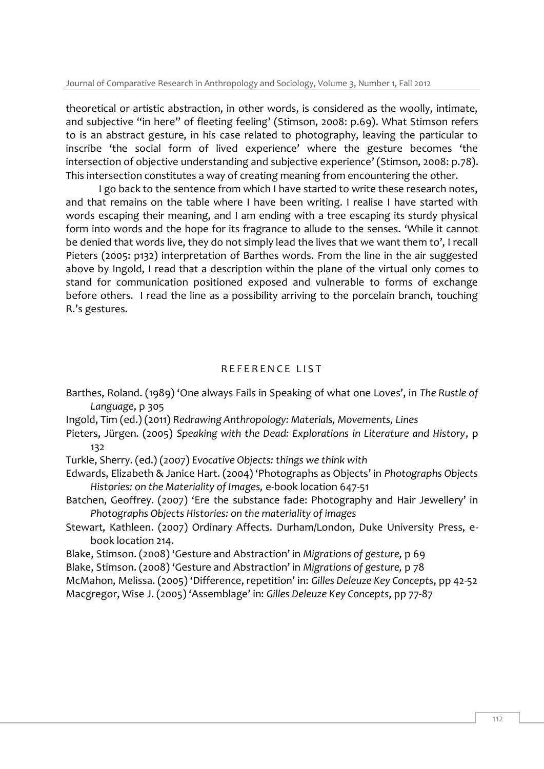Journal of Comparative Research in Anthropology and Sociology, Volume 3, Number 1, Fall 2012

theoretical or artistic abstraction, in other words, is considered as the woolly, intimate, and subjective "in here" of fleeting feeling' (Stimson, 2008: p.69). What Stimson refers to is an abstract gesture, in his case related to photography, leaving the particular to inscribe 'the social form of lived experience' where the gesture becomes 'the intersection of objective understanding and subjective experience' (Stimson, 2008: p.78). This intersection constitutes a way of creating meaning from encountering the other.

I go back to the sentence from which I have started to write these research notes, and that remains on the table where I have been writing. I realise I have started with words escaping their meaning, and I am ending with a tree escaping its sturdy physical form into words and the hope for its fragrance to allude to the senses. 'While it cannot be denied that words live, they do not simply lead the lives that we want them to', I recall Pieters (2005: p132) interpretation of Barthes words. From the line in the air suggested above by Ingold, I read that a description within the plane of the virtual only comes to stand for communication positioned exposed and vulnerable to forms of exchange before others. I read the line as a possibility arriving to the porcelain branch, touching R.'s gestures.

# REFERENCE LIST

- Barthes, Roland. (1989) 'One always Fails in Speaking of what one Loves', in *The Rustle of Language*, p 305
- Ingold, Tim (ed.) (2011) *Redrawing Anthropology: Materials, Movements, Lines*
- Pieters, Jürgen. (2005) *Speaking with the Dead: Explorations in Literature and History*, p 132
- Turkle, Sherry. (ed.) (2007) *Evocative Objects: things we think with*
- Edwards, Elizabeth & Janice Hart. (2004) 'Photographs as Objects' in *Photographs Objects Histories: on the Materiality of Images,* e-book location 647-51
- Batchen, Geoffrey. (2007) 'Ere the substance fade: Photography and Hair Jewellery' in *Photographs Objects Histories: on the materiality of images*
- Stewart, Kathleen. (2007) Ordinary Affects. Durham/London, Duke University Press, ebook location 214.
- Blake, Stimson. (2008) 'Gesture and Abstraction' in *Migrations of gesture,* p 69
- Blake, Stimson. (2008) 'Gesture and Abstraction' in *Migrations of gesture,* p 78
- McMahon, Melissa. (2005) 'Difference, repetition' in: *Gilles Deleuze Key Concepts*, pp 42-52
- Macgregor, Wise J. (2005) 'Assemblage' in: *Gilles Deleuze Key Concepts*, pp 77-87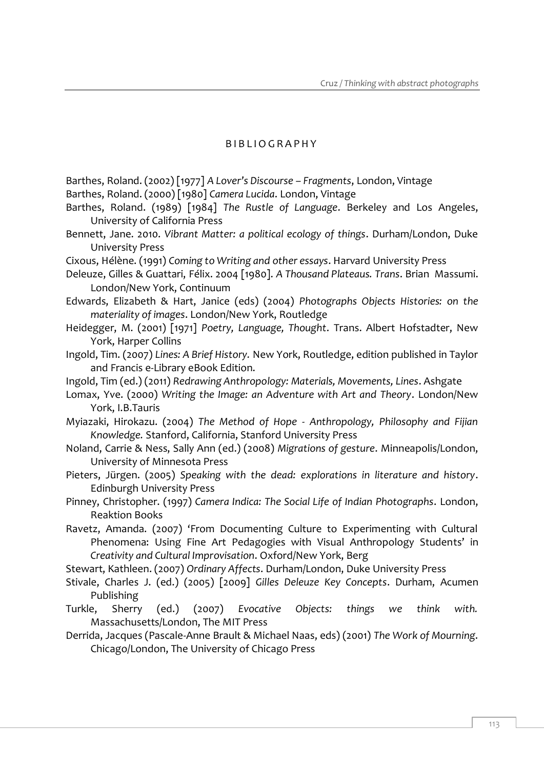#### B I B L I O G R A P H Y

- Barthes, Roland. (2002) [1977] *A Lover's Discourse – Fragments*, London, Vintage
- Barthes, Roland. (2000) [1980] *Camera Lucida*. London, Vintage
- Barthes, Roland. (1989) [1984] *The Rustle of Language*. Berkeley and Los Angeles, University of California Press
- Bennett, Jane. 2010. *Vibrant Matter: a political ecology of things*. Durham/London, Duke University Press
- Cixous, Hélène. (1991) *Coming to Writing and other essays*. Harvard University Press
- Deleuze, Gilles & Guattari, Félix. 2004 [1980]. *A Thousand Plateaus. Trans*. Brian Massumi. London/New York, Continuum
- Edwards, Elizabeth & Hart, Janice (eds) (2004) *Photographs Objects Histories: on the materiality of images*. London/New York, Routledge
- Heidegger, M. (2001) [1971] *Poetry, Language, Thought*. Trans. Albert Hofstadter, New York, Harper Collins
- Ingold, Tim. (2007) *Lines: A Brief History.* New York, Routledge, edition published in Taylor and Francis e-Library eBook Edition.
- Ingold, Tim (ed.) (2011) *Redrawing Anthropology: Materials, Movements, Lines*. Ashgate
- Lomax, Yve. (2000) *Writing the Image: an Adventure with Art and Theory*. London/New York, I.B.Tauris
- Myiazaki, Hirokazu. (2004) *The Method of Hope - Anthropology, Philosophy and Fijian Knowledge.* Stanford, California, Stanford University Press
- Noland, Carrie & Ness, Sally Ann (ed.) (2008) *Migrations of gesture*. Minneapolis/London, University of Minnesota Press
- Pieters, Jürgen. (2005) *Speaking with the dead: explorations in literature and history*. Edinburgh University Press
- Pinney, Christopher. (1997) *Camera Indica: The Social Life of Indian Photographs*. London, Reaktion Books
- Ravetz, Amanda. (2007) 'From Documenting Culture to Experimenting with Cultural Phenomena: Using Fine Art Pedagogies with Visual Anthropology Students' in *Creativity and Cultural Improvisation*. Oxford/New York, Berg
- Stewart, Kathleen. (2007) *Ordinary Affects*. Durham/London, Duke University Press
- Stivale, Charles J. (ed.) (2005) [2009] *Gilles Deleuze Key Concepts*. Durham, Acumen Publishing
- Turkle, Sherry (ed.) (2007) *Evocative Objects: things we think with.* Massachusetts/London, The MIT Press
- Derrida, Jacques (Pascale-Anne Brault & Michael Naas, eds) (2001) *The Work of Mourning*. Chicago/London, The University of Chicago Press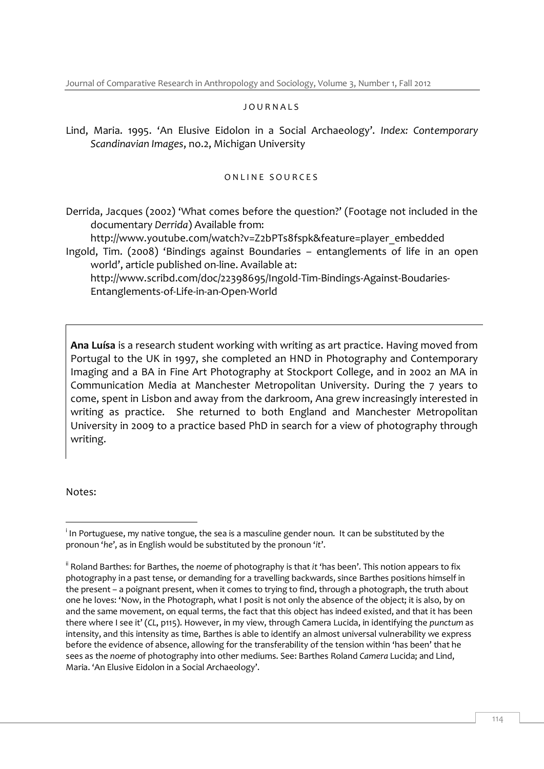#### J O U R N A L S

Lind, Maria. 1995. 'An Elusive Eidolon in a Social Archaeology'. *Index: Contemporary Scandinavian Images*, no.2, Michigan University

#### ONLINE SOURCES

Derrida, Jacques (2002) 'What comes before the question?' (Footage not included in the documentary *Derrida*) Available from:

[http://www.youtube.com/watch?v=Z2bPTs8fspk&feature=player\\_embedded](http://www.youtube.com/watch?v=Z2bPTs8fspk&feature=player_embedded) Ingold, Tim. (2008) 'Bindings against Boundaries – entanglements of life in an open world', article published on-line. Available at:

http://www.scribd.com/doc/22398695/Ingold-Tim-Bindings-Against-Boudaries-Entanglements-of-Life-in-an-Open-World

**Ana Luísa** is a research student working with writing as art practice. Having moved from Portugal to the UK in 1997, she completed an HND in Photography and Contemporary Imaging and a BA in Fine Art Photography at Stockport College, and in 2002 an MA in Communication Media at Manchester Metropolitan University. During the 7 years to come, spent in Lisbon and away from the darkroom, Ana grew increasingly interested in writing as practice. She returned to both England and Manchester Metropolitan University in 2009 to a practice based PhD in search for a view of photography through writing.

Notes:

<sup>-</sup> $^{\mathsf{i}}$  In Portuguese, my native tongue, the sea is a masculine gender noun. It can be substituted by the pronoun '*he*', as in English would be substituted by the pronoun '*it*'.

ii Roland Barthes: for Barthes, the *noeme* of photography is that *it* 'has been'. This notion appears to fix photography in a past tense, or demanding for a travelling backwards, since Barthes positions himself in the present – a poignant present, when it comes to trying to find, through a photograph, the truth about one he loves: 'Now, in the Photograph, what I posit is not only the absence of the object; it is also, by on and the same movement, on equal terms, the fact that this object has indeed existed, and that it has been there where I see it' (*CL*, p115). However, in my view, through Camera Lucida, in identifying the *punctum* as intensity, and this intensity as time, Barthes is able to identify an almost universal vulnerability we express before the evidence of absence, allowing for the transferability of the tension within 'has been' that he sees as the *noeme* of photography into other mediums. See: Barthes Roland *Camera* Lucida; and Lind, Maria. 'An Elusive Eidolon in a Social Archaeology'.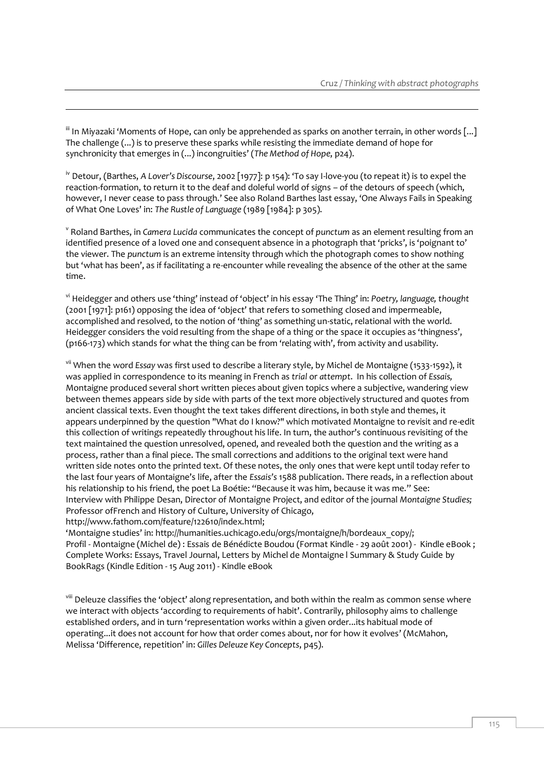$\mathbb{I}^{\mathbb{I}}$  In Miyazaki 'Moments of Hope, can only be apprehended as sparks on another terrain, in other words [...] The challenge (...) is to preserve these sparks while resisting the immediate demand of hope for synchronicity that emerges in (...) incongruities' (*The Method of Hope*, p24).

-

iv Detour, (Barthes, *A Lover's Discourse*, 2002 [1977]: p 154): 'To say I-love-you (to repeat it) is to expel the reaction-formation, to return it to the deaf and doleful world of signs – of the detours of speech (which, however, I never cease to pass through.' See also Roland Barthes last essay, 'One Always Fails in Speaking of What One Loves' in: *The Rustle of Language* (1989 [1984]: p 305).

<sup>v</sup> Roland Barthes, in *Camera Lucida* communicates the concept of *punctum* as an element resulting from an identified presence of a loved one and consequent absence in a photograph that 'pricks', is 'poignant to' the viewer. The *punctum* is an extreme intensity through which the photograph comes to show nothing but 'what has been', as if facilitating a re-encounter while revealing the absence of the other at the same time.

vi Heidegger and others use 'thing' instead of 'object' in his essay 'The Thing' in: *Poetry, language, thought*  (2001 [1971]: p161) opposing the idea of 'object' that refers to something closed and impermeable, accomplished and resolved, to the notion of 'thing' as something un-static, relational with the world. Heidegger considers the void resulting from the shape of a thing or the space it occupies as 'thingness', (p166-173) which stands for what the thing can be from 'relating with', from activity and usability.

vii When the word *Essay* was first used to describe a literary style, by Michel de Montaigne (1533-1592), it was applied in correspondence to its meaning in French as *trial* or *attempt*. In his collection of *Essais,*  Montaigne produced several short written pieces about given topics where a subjective, wandering view between themes appears side by side with parts of the text more objectively structured and quotes from ancient classical texts. Even thought the text takes different directions, in both style and themes, it appears underpinned by the question "What do I know?" which motivated Montaigne to revisit and re-edit this collection of writings repeatedly throughout his life. In turn, the author's continuous revisiting of the text maintained the question unresolved, opened, and revealed both the question and the writing as a process, rather than a final piece. The small corrections and additions to the original text were hand written side notes onto the printed text. Of these notes, the only ones that were kept until today refer to the last four years of Montaigne's life, after the *Essais's* 1588 publication. There reads, in a reflection about his relationship to his friend, the poet La Boétie: "Because it was him, because it was me." See: Interview with Philippe Desan, Director of Montaigne Project, and editor of the journal *Montaigne Studies;* Professor ofFrench and History of Culture, University of Chicago, http://www.fathom.com/feature/122610/index.html;

'Montaigne studies' in: http://humanities.uchicago.edu/orgs/montaigne/h/bordeaux\_copy/; Profil - Montaigne (Michel de) : Essais de Bénédicte Boudou (Format Kindle - 29 août 2001) - Kindle eBook ; Complete Works: Essays, Travel Journal, Letters by Michel de Montaigne l Summary & Study Guide by BookRags (Kindle Edition - 15 Aug 2011) - Kindle eBook

viii Deleuze classifies the 'object' along representation, and both within the realm as common sense where we interact with objects 'according to requirements of habit'. Contrarily, philosophy aims to challenge established orders, and in turn 'representation works within a given order...its habitual mode of operating...it does not account for how that order comes about, nor for how it evolves' (McMahon, Melissa 'Difference, repetition' in: *Gilles Deleuze Key Concepts*, p45).